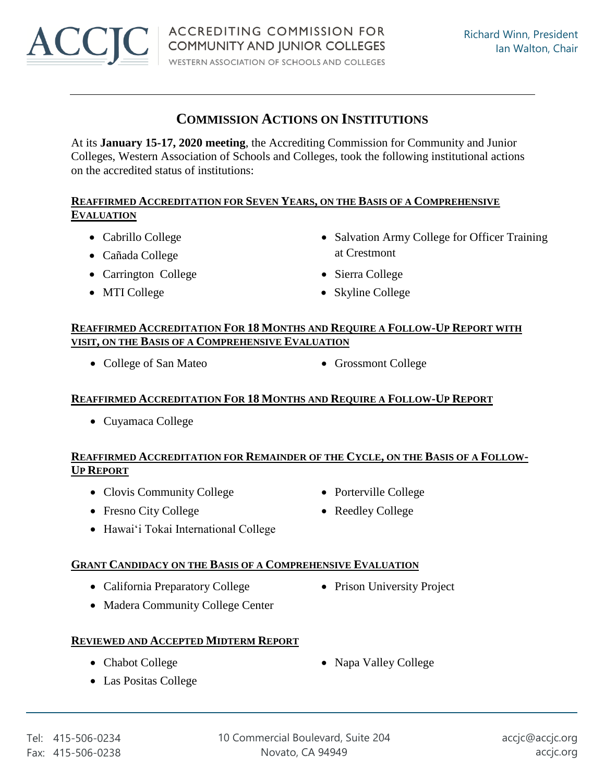

# **COMMISSION ACTIONS ON INSTITUTIONS**

At its **January 15-17, 2020 meeting**, the Accrediting Commission for Community and Junior Colleges, Western Association of Schools and Colleges, took the following institutional actions on the accredited status of institutions:

# **REAFFIRMED ACCREDITATION FOR SEVEN YEARS, ON THE BASIS OF A COMPREHENSIVE EVALUATION**

- 
- Cañada College at Crestmont
- Carrington College Sierra College
- 
- Cabrillo College Salvation Army College for Officer Training
	-
- MTI College Skyline College

#### **REAFFIRMED ACCREDITATION FOR 18 MONTHS AND REQUIRE A FOLLOW-UP REPORT WITH VISIT, ON THE BASIS OF A COMPREHENSIVE EVALUATION**

- College of San Mateo Grossmont College
	-

# **REAFFIRMED ACCREDITATION FOR 18 MONTHS AND REQUIRE A FOLLOW-UP REPORT**

Cuyamaca College

#### **REAFFIRMED ACCREDITATION FOR REMAINDER OF THE CYCLE, ON THE BASIS OF A FOLLOW-UP REPORT**

- Clovis Community College Porterville College
- Fresno City College Reedley College
- Hawai'i Tokai International College

# **GRANT CANDIDACY ON THE BASIS OF A COMPREHENSIVE EVALUATION**

- California Preparatory College Prison University Project
- Madera Community College Center

# **REVIEWED AND ACCEPTED MIDTERM REPORT**

- 
- Las Positas College
- 
- 
- Chabot College **Napa Valley College Napa Valley College**